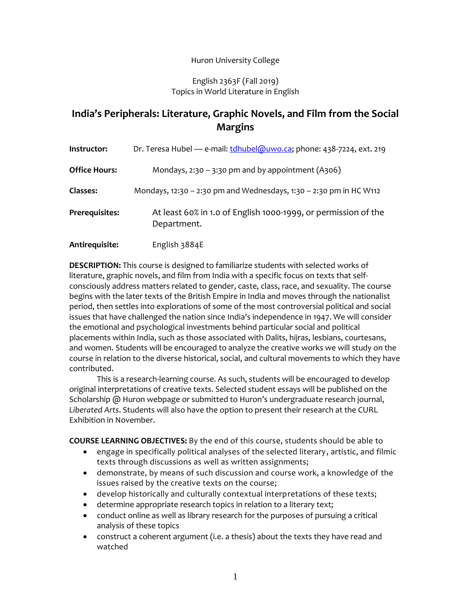### Huron University College

#### English 2363F (Fall 2019) Topics in World Literature in English

# **India's Peripherals: Literature, Graphic Novels, and Film from the Social Margins**

| Instructor:          | Dr. Teresa Hubel — e-mail: tdhubel@uwo.ca; phone: 438-7224, ext. 219          |  |  |
|----------------------|-------------------------------------------------------------------------------|--|--|
| <b>Office Hours:</b> | Mondays, $2:30 - 3:30$ pm and by appointment (A306)                           |  |  |
| Classes:             | Mondays, 12:30 - 2:30 pm and Wednesdays, 1:30 - 2:30 pm in HC W112            |  |  |
| Prerequisites:       | At least 60% in 1.0 of English 1000-1999, or permission of the<br>Department. |  |  |
| Antirequisite:       | English 3884E                                                                 |  |  |

**DESCRIPTION:** This course is designed to familiarize students with selected works of literature, graphic novels, and film from India with a specific focus on texts that selfconsciously address matters related to gender, caste, class, race, and sexuality. The course begins with the later texts of the British Empire in India and moves through the nationalist period, then settles into explorations of some of the most controversial political and social issues that have challenged the nation since India's independence in 1947. We will consider the emotional and psychological investments behind particular social and political placements within India, such as those associated with Dalits, hijras, lesbians, courtesans, and women. Students will be encouraged to analyze the creative works we will study on the course in relation to the diverse historical, social, and cultural movements to which they have contributed.

This is a research-learning course. As such, students will be encouraged to develop original interpretations of creative texts. Selected student essays will be published on the Scholarship @ Huron webpage or submitted to Huron's undergraduate research journal, *Liberated Arts*. Students will also have the option to present their research at the CURL Exhibition in November.

**COURSE LEARNING OBJECTIVES:** By the end of this course, students should be able to

- engage in specifically political analyses of the selected literary, artistic, and filmic texts through discussions as well as written assignments;
- demonstrate, by means of such discussion and course work, a knowledge of the issues raised by the creative texts on the course;
- develop historically and culturally contextual interpretations of these texts;
- determine appropriate research topics in relation to a literary text;
- conduct online as well as library research for the purposes of pursuing a critical analysis of these topics
- construct a coherent argument (i.e. a thesis) about the texts they have read and watched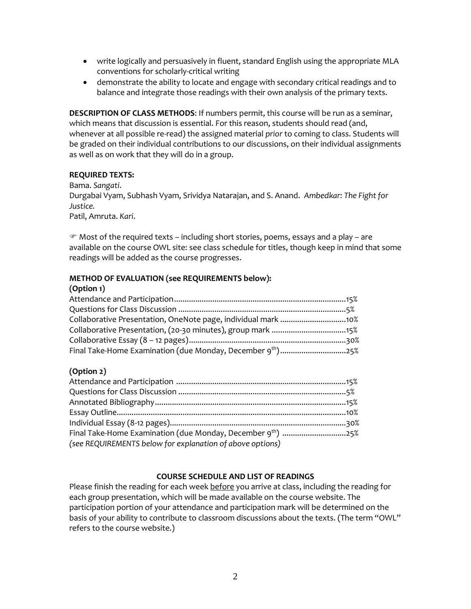- write logically and persuasively in fluent, standard English using the appropriate MLA conventions for scholarly-critical writing
- demonstrate the ability to locate and engage with secondary critical readings and to balance and integrate those readings with their own analysis of the primary texts.

**DESCRIPTION OF CLASS METHODS**: If numbers permit, this course will be run as a seminar, which means that discussion is essential. For this reason, students should read (and, whenever at all possible re-read) the assigned material *prior* to coming to class. Students will be graded on their individual contributions to our discussions, on their individual assignments as well as on work that they will do in a group.

### **REQUIRED TEXTS:**

Bama. *Sangati*.

Durgabai Vyam, Subhash Vyam, Srividya Natarajan, and S. Anand. *Ambedkar: The Fight for Justice.*

Patil, Amruta. *Kari*.

 $\mathcal P$  Most of the required texts – including short stories, poems, essays and a play – are available on the course OWL site: see class schedule for titles, though keep in mind that some readings will be added as the course progresses.

# **METHOD OF EVALUATION (see REQUIREMENTS below):**

#### **(Option 1)**

# **(Option 2)**

| (see REQUIREMENTS below for explanation of above options) |  |
|-----------------------------------------------------------|--|

# **COURSE SCHEDULE AND LIST OF READINGS**

Please finish the reading for each week before you arrive at class, including the reading for each group presentation, which will be made available on the course website. The participation portion of your attendance and participation mark will be determined on the basis of your ability to contribute to classroom discussions about the texts. (The term "OWL" refers to the course website.)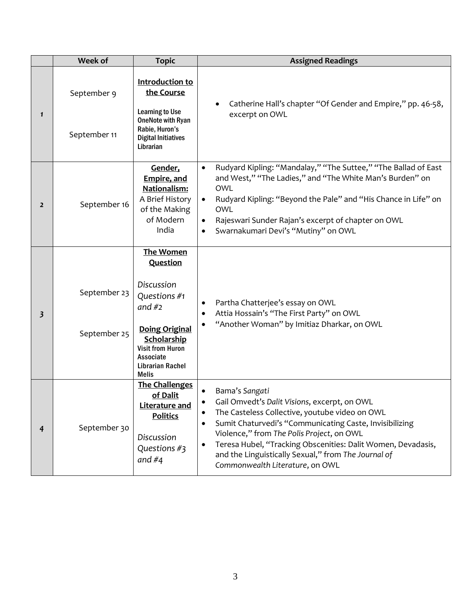|                | Week of                      | <b>Topic</b>                                                                                                                                                                               | <b>Assigned Readings</b>                                                                                                                                                                                                                                                                                                                                                                        |
|----------------|------------------------------|--------------------------------------------------------------------------------------------------------------------------------------------------------------------------------------------|-------------------------------------------------------------------------------------------------------------------------------------------------------------------------------------------------------------------------------------------------------------------------------------------------------------------------------------------------------------------------------------------------|
| $\mathbf{1}$   | September 9<br>September 11  | Introduction to<br>the Course<br><b>Learning to Use</b><br><b>OneNote with Ryan</b><br>Rabie, Huron's<br><b>Digital Initiatives</b><br>Librarian                                           | Catherine Hall's chapter "Of Gender and Empire," pp. 46-58,<br>excerpt on OWL                                                                                                                                                                                                                                                                                                                   |
| $\overline{2}$ | September 16                 | Gender,<br><b>Empire, and</b><br>Nationalism:<br>A Brief History<br>of the Making<br>of Modern<br>India                                                                                    | Rudyard Kipling: "Mandalay," "The Suttee," "The Ballad of East<br>$\bullet$<br>and West," "The Ladies," and "The White Man's Burden" on<br><b>OWL</b><br>Rudyard Kipling: "Beyond the Pale" and "His Chance in Life" on<br>$\bullet$<br><b>OWL</b><br>Rajeswari Sunder Rajan's excerpt of chapter on OWL<br>$\bullet$<br>Swarnakumari Devi's "Mutiny" on OWL<br>$\bullet$                       |
| 3              | September 23<br>September 25 | The Women<br>Question<br>Discussion<br>Questions #1<br>and $#2$<br><b>Doing Original</b><br>Scholarship<br><b>Visit from Huron</b><br>Associate<br><b>Librarian Rachel</b><br><b>Melis</b> | Partha Chatterjee's essay on OWL<br>Attia Hossain's "The First Party" on OWL<br>"Another Woman" by Imitiaz Dharkar, on OWL                                                                                                                                                                                                                                                                      |
| 4              | September 30                 | <b>The Challenges</b><br>of Dalit<br>Literature and<br><b>Politics</b><br>Discussion<br>Questions #3<br>and $#4$                                                                           | Bama's Sangati<br>Gail Omvedt's Dalit Visions, excerpt, on OWL<br>The Casteless Collective, youtube video on OWL<br>Sumit Chaturvedi's "Communicating Caste, Invisibilizing<br>Violence," from The Polis Project, on OWL<br>Teresa Hubel, "Tracking Obscenities: Dalit Women, Devadasis,<br>$\bullet$<br>and the Linguistically Sexual," from The Journal of<br>Commonwealth Literature, on OWL |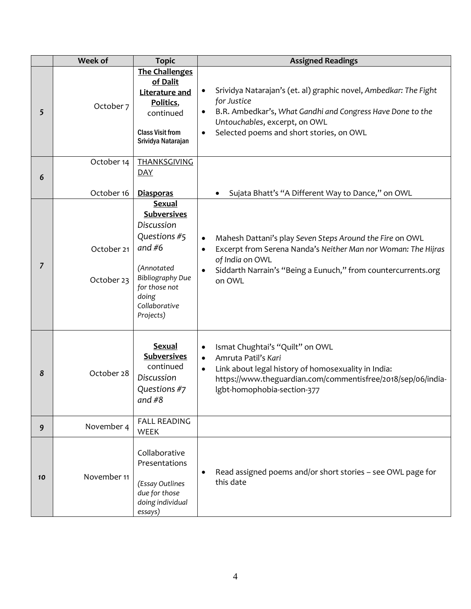|    | <b>Week of</b>           | <b>Topic</b>                                                                                                                                                                   | <b>Assigned Readings</b>                                                                                                                                                                                                                             |
|----|--------------------------|--------------------------------------------------------------------------------------------------------------------------------------------------------------------------------|------------------------------------------------------------------------------------------------------------------------------------------------------------------------------------------------------------------------------------------------------|
| 5  | October 7                | <b>The Challenges</b><br>of Dalit<br>Literature and<br>Politics,<br>continued<br><b>Class Visit from</b><br>Srividya Natarajan                                                 | Srividya Natarajan's (et. al) graphic novel, Ambedkar: The Fight<br>for Justice<br>B.R. Ambedkar's, What Gandhi and Congress Have Done to the<br>$\bullet$<br>Untouchables, excerpt, on OWL<br>Selected poems and short stories, on OWL<br>$\bullet$ |
| 6  | October 14<br>October 16 | <b>THANKSGIVING</b><br><b>DAY</b><br><b>Diasporas</b>                                                                                                                          | Sujata Bhatt's "A Different Way to Dance," on OWL                                                                                                                                                                                                    |
| 7  | October 21<br>October 23 | <b>Sexual</b><br><b>Subversives</b><br>Discussion<br>Questions #5<br>and $#6$<br>(Annotated<br><b>Bibliography Due</b><br>for those not<br>doing<br>Collaborative<br>Projects) | Mahesh Dattani's play Seven Steps Around the Fire on OWL<br>$\bullet$<br>Excerpt from Serena Nanda's Neither Man nor Woman: The Hijras<br>$\bullet$<br>of India on OWL<br>Siddarth Narrain's "Being a Eunuch," from countercurrents.org<br>on OWL    |
| 8  | October 28               | <b>Sexual</b><br><b>Subversives</b><br>continued<br>Discussion<br>Questions #7<br>and $#8$                                                                                     | Ismat Chughtai's "Quilt" on OWL<br>$\bullet$<br>Amruta Patil's Kari<br>$\bullet$<br>Link about legal history of homosexuality in India:<br>$\bullet$<br>https://www.theguardian.com/commentisfree/2018/sep/06/india-<br>Igbt-homophobia-section-377  |
| 9  | November 4               | <b>FALL READING</b><br>WEEK                                                                                                                                                    |                                                                                                                                                                                                                                                      |
| 10 | November 11              | Collaborative<br>Presentations<br>(Essay Outlines<br>due for those<br>doing individual<br>essays)                                                                              | Read assigned poems and/or short stories - see OWL page for<br>٠<br>this date                                                                                                                                                                        |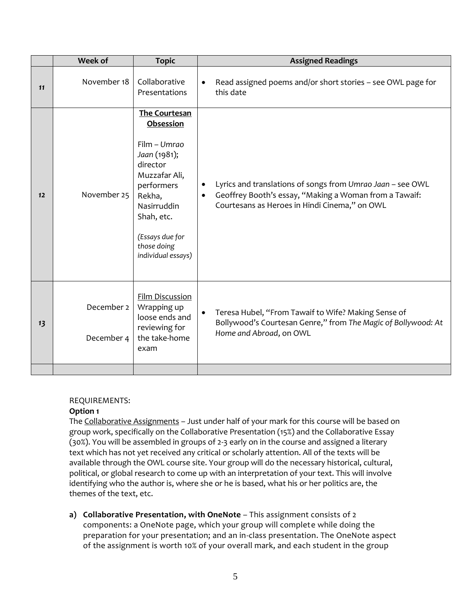|    | Week of                  | <b>Topic</b>                                                                                                                                                                                                | <b>Assigned Readings</b>                                                                                                                                                                        |
|----|--------------------------|-------------------------------------------------------------------------------------------------------------------------------------------------------------------------------------------------------------|-------------------------------------------------------------------------------------------------------------------------------------------------------------------------------------------------|
| 11 | November 18              | Collaborative<br>Presentations                                                                                                                                                                              | Read assigned poems and/or short stories - see OWL page for<br>$\bullet$<br>this date                                                                                                           |
| 12 | November 25              | <b>The Courtesan</b><br>Obsession<br>Film - Umrao<br>Jaan (1981);<br>director<br>Muzzafar Ali,<br>performers<br>Rekha,<br>Nasirruddin<br>Shah, etc.<br>(Essays due for<br>those doing<br>individual essays) | Lyrics and translations of songs from Umrao Jaan - see OWL<br>$\bullet$<br>Geoffrey Booth's essay, "Making a Woman from a Tawaif:<br>$\bullet$<br>Courtesans as Heroes in Hindi Cinema," on OWL |
| 13 | December 2<br>December 4 | <b>Film Discussion</b><br>Wrapping up<br>loose ends and<br>reviewing for<br>the take-home<br>exam                                                                                                           | Teresa Hubel, "From Tawaif to Wife? Making Sense of<br>$\bullet$<br>Bollywood's Courtesan Genre," from The Magic of Bollywood: At<br>Home and Abroad, on OWL                                    |

# REQUIREMENTS:

# **Option 1**

The Collaborative Assignments - Just under half of your mark for this course will be based on group work, specifically on the Collaborative Presentation (15%) and the Collaborative Essay (30%). You will be assembled in groups of 2-3 early on in the course and assigned a literary text which has not yet received any critical or scholarly attention. All of the texts will be available through the OWL course site. Your group will do the necessary historical, cultural, political, or global research to come up with an interpretation of your text. This will involve identifying who the author is, where she or he is based, what his or her politics are, the themes of the text, etc.

**a) Collaborative Presentation, with OneNote** – This assignment consists of 2 components: a OneNote page, which your group will complete while doing the preparation for your presentation; and an in-class presentation. The OneNote aspect of the assignment is worth 10% of your overall mark, and each student in the group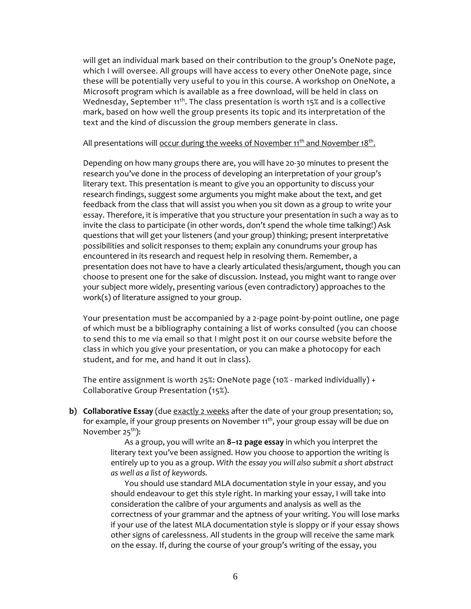will get an individual mark based on their contribution to the group's OneNote page, which I will oversee. All groups will have access to every other OneNote page, since these will be potentially very useful to you in this course. A workshop on OneNote, a Microsoft program which is available as a free download, will be held in class on Wednesday, September  $11^{th}$ . The class presentation is worth 15% and is a collective mark, based on how well the group presents its topic and its interpretation of the text and the kind of discussion the group members generate in class.

### All presentations will <u>occur during the weeks of November 11<sup>th</sup> and November 18<sup>th</sup>.</u>

Depending on how many groups there are, you will have 20-30 minutes to present the research you've done in the process of developing an interpretation of your group's literary text. This presentation is meant to give you an opportunity to discuss your research findings, suggest some arguments you might make about the text, and get feedback from the class that will assist you when you sit down as a group to write your essay. Therefore, it is imperative that you structure your presentation in such a way as to invite the class to participate (in other words, don't spend the whole time talking!) Ask questions that will get your listeners (and your group) thinking; present interpretative possibilities and solicit responses to them; explain any conundrums your group has encountered in its research and request help in resolving them. Remember, a presentation does not have to have a clearly articulated thesis/argument, though you can choose to present one for the sake of discussion. Instead, you might want to range over your subject more widely, presenting various (even contradictory) approaches to the work(s) of literature assigned to your group.

Your presentation must be accompanied by a 2-page point-by-point outline, one page of which must be a bibliography containing a list of works consulted (you can choose to send this to me via email so that I might post it on our course website before the class in which you give your presentation, or you can make a photocopy for each student, and for me, and hand it out in class).

The entire assignment is worth 25%: OneNote page (10% - marked individually) + Collaborative Group Presentation (15%).

**b) Collaborative Essay** (due exactly 2 weeks after the date of your group presentation; so, for example, if your group presents on November  $11<sup>th</sup>$ , your group essay will be due on November 25<sup>th</sup>):

> As a group, you will write an **8–12 page essay** in which you interpret the literary text you've been assigned. How you choose to apportion the writing is entirely up to you as a group. *With the essay you will also submit a short abstract as well as a list of keywords.*

You should use standard MLA documentation style in your essay, and you should endeavour to get this style right. In marking your essay, I will take into consideration the calibre of your arguments and analysis as well as the correctness of your grammar and the aptness of your writing. You will lose marks if your use of the latest MLA documentation style is sloppy or if your essay shows other signs of carelessness. All students in the group will receive the same mark on the essay. If, during the course of your group's writing of the essay, you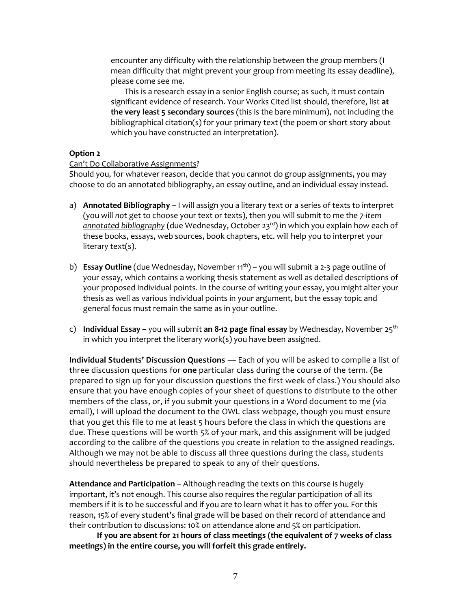encounter any difficulty with the relationship between the group members (I mean difficulty that might prevent your group from meeting its essay deadline), please come see me.

This is a research essay in a senior English course; as such, it must contain significant evidence of research. Your Works Cited list should, therefore, list **at the very least 5 secondary sources** (this is the bare minimum), not including the bibliographical citation(s) for your primary text (the poem or short story about which you have constructed an interpretation).

#### **Option 2**

### Can't Do Collaborative Assignments?

Should you, for whatever reason, decide that you cannot do group assignments, you may choose to do an annotated bibliography, an essay outline, and an individual essay instead.

- a) **Annotated Bibliography –** I will assign you a literary text or a series of texts to interpret (you will *not* get to choose your text or texts), then you will submit to me the *7-item*  annotated bibliography (due Wednesday, October 23<sup>rd</sup>) in which you explain how each of these books, essays, web sources, book chapters, etc. will help you to interpret your literary text(s).
- b) **Essay Outline** (due Wednesday, November 11<sup>th</sup>) you will submit a 2-3 page outline of your essay, which contains a working thesis statement as well as detailed descriptions of your proposed individual points. In the course of writing your essay, you might alter your thesis as well as various individual points in your argument, but the essay topic and general focus must remain the same as in your outline.
- c) **Individual Essay –** you will submit **an 8-12 page final essay** by Wednesday, November 25th in which you interpret the literary work(s) you have been assigned.

**Individual Students' Discussion Questions** — Each of you will be asked to compile a list of three discussion questions for **one** particular class during the course of the term. (Be prepared to sign up for your discussion questions the first week of class.) You should also ensure that you have enough copies of your sheet of questions to distribute to the other members of the class, or, if you submit your questions in a Word document to me (via email), I will upload the document to the OWL class webpage, though you must ensure that you get this file to me at least 5 hours before the class in which the questions are due. These questions will be worth 5% of your mark, and this assignment will be judged according to the calibre of the questions you create in relation to the assigned readings. Although we may not be able to discuss all three questions during the class, students should nevertheless be prepared to speak to any of their questions.

**Attendance and Participation** – Although reading the texts on this course is hugely important, it's not enough. This course also requires the regular participation of all its members if it is to be successful and if you are to learn what it has to offer you. For this reason, 15% of every student's final grade will be based on their record of attendance and their contribution to discussions: 10% on attendance alone and 5% on participation.

**If you are absent for 21 hours of class meetings (the equivalent of 7 weeks of class meetings) in the entire course, you will forfeit this grade entirely.**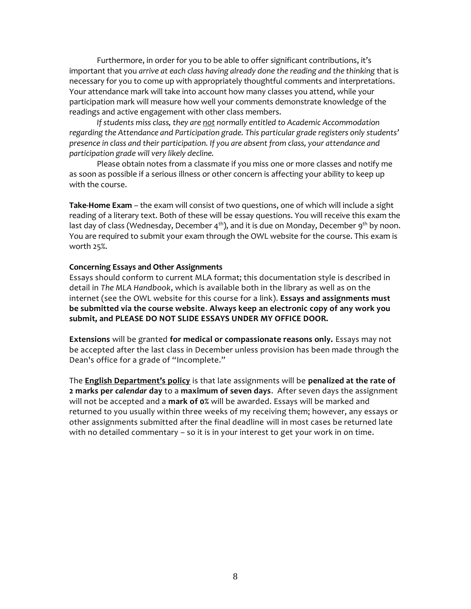Furthermore, in order for you to be able to offer significant contributions, it's important that you *arrive at each class having already done the reading and the thinking* that is necessary for you to come up with appropriately thoughtful comments and interpretations. Your attendance mark will take into account how many classes you attend, while your participation mark will measure how well your comments demonstrate knowledge of the readings and active engagement with other class members.

*If students miss class, they are not normally entitled to Academic Accommodation regarding the Attendance and Participation grade. This particular grade registers only students' presence in class and their participation. If you are absent from class, your attendance and participation grade will very likely decline.*

Please obtain notes from a classmate if you miss one or more classes and notify me as soon as possible if a serious illness or other concern is affecting your ability to keep up with the course.

**Take-Home Exam** – the exam will consist of two questions, one of which will include a sight reading of a literary text. Both of these will be essay questions. You will receive this exam the last day of class (Wednesday, December 4<sup>th</sup>), and it is due on Monday, December 9<sup>th</sup> by noon. You are required to submit your exam through the OWL website for the course. This exam is worth 25%.

#### **Concerning Essays and Other Assignments**

Essays should conform to current MLA format; this documentation style is described in detail in *The MLA Handbook*, which is available both in the library as well as on the internet (see the OWL website for this course for a link). **Essays and assignments must be submitted via the course website**. **Always keep an electronic copy of any work you submit, and PLEASE DO NOT SLIDE ESSAYS UNDER MY OFFICE DOOR.**

**Extensions** will be granted **for medical or compassionate reasons only.** Essays may not be accepted after the last class in December unless provision has been made through the Dean's office for a grade of "Incomplete."

The **English Department's policy** is that late assignments will be **penalized at the rate of 2 marks per** *calendar* **day** to a **maximum of seven days**. After seven days the assignment will not be accepted and a **mark of 0%** will be awarded. Essays will be marked and returned to you usually within three weeks of my receiving them; however, any essays or other assignments submitted after the final deadline will in most cases be returned late with no detailed commentary – so it is in your interest to get your work in on time.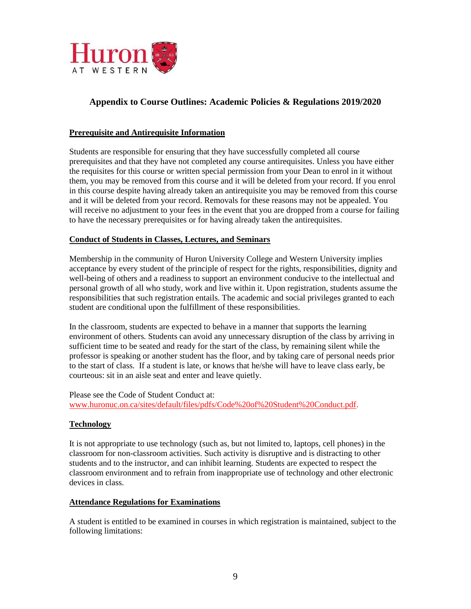

# **Appendix to Course Outlines: Academic Policies & Regulations 2019/2020**

#### **Prerequisite and Antirequisite Information**

Students are responsible for ensuring that they have successfully completed all course prerequisites and that they have not completed any course antirequisites. Unless you have either the requisites for this course or written special permission from your Dean to enrol in it without them, you may be removed from this course and it will be deleted from your record. If you enrol in this course despite having already taken an antirequisite you may be removed from this course and it will be deleted from your record. Removals for these reasons may not be appealed. You will receive no adjustment to your fees in the event that you are dropped from a course for failing to have the necessary prerequisites or for having already taken the antirequisites.

#### **Conduct of Students in Classes, Lectures, and Seminars**

Membership in the community of Huron University College and Western University implies acceptance by every student of the principle of respect for the rights, responsibilities, dignity and well-being of others and a readiness to support an environment conducive to the intellectual and personal growth of all who study, work and live within it. Upon registration, students assume the responsibilities that such registration entails. The academic and social privileges granted to each student are conditional upon the fulfillment of these responsibilities.

In the classroom, students are expected to behave in a manner that supports the learning environment of others. Students can avoid any unnecessary disruption of the class by arriving in sufficient time to be seated and ready for the start of the class, by remaining silent while the professor is speaking or another student has the floor, and by taking care of personal needs prior to the start of class. If a student is late, or knows that he/she will have to leave class early, be courteous: sit in an aisle seat and enter and leave quietly.

Please see the Code of Student Conduct at: [www.huronuc.on.ca/sites/default/files/pdfs/Code%20of%20Student%20Conduct.pdf.](http://www.huronuc.on.ca/sites/default/files/pdfs/Code%20of%20Student%20Conduct.pdf)

#### **Technology**

It is not appropriate to use technology (such as, but not limited to, laptops, cell phones) in the classroom for non-classroom activities. Such activity is disruptive and is distracting to other students and to the instructor, and can inhibit learning. Students are expected to respect the classroom environment and to refrain from inappropriate use of technology and other electronic devices in class.

#### **Attendance Regulations for Examinations**

A student is entitled to be examined in courses in which registration is maintained, subject to the following limitations: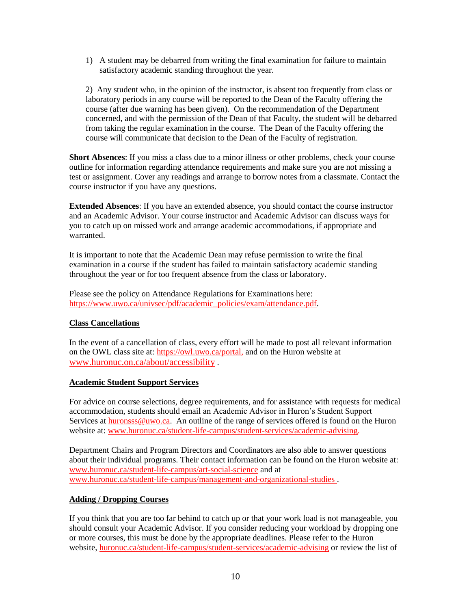1) A student may be debarred from writing the final examination for failure to maintain satisfactory academic standing throughout the year.

2) Any student who, in the opinion of the instructor, is absent too frequently from class or laboratory periods in any course will be reported to the Dean of the Faculty offering the course (after due warning has been given). On the recommendation of the Department concerned, and with the permission of the Dean of that Faculty, the student will be debarred from taking the regular examination in the course. The Dean of the Faculty offering the course will communicate that decision to the Dean of the Faculty of registration.

**Short Absences**: If you miss a class due to a minor illness or other problems, check your course outline for information regarding attendance requirements and make sure you are not missing a test or assignment. Cover any readings and arrange to borrow notes from a classmate. Contact the course instructor if you have any questions.

**Extended Absences**: If you have an extended absence, you should contact the course instructor and an Academic Advisor. Your course instructor and Academic Advisor can discuss ways for you to catch up on missed work and arrange academic accommodations, if appropriate and warranted.

It is important to note that the Academic Dean may refuse permission to write the final examination in a course if the student has failed to maintain satisfactory academic standing throughout the year or for too frequent absence from the class or laboratory.

Please see the policy on Attendance Regulations for Examinations here: [https://www.uwo.ca/univsec/pdf/academic\\_policies/exam/attendance.pdf.](https://www.uwo.ca/univsec/pdf/academic_policies/exam/attendance.pdf)

# **Class Cancellations**

In the event of a cancellation of class, every effort will be made to post all relevant information on the OWL class site at: [https://owl.uwo.ca/portal,](https://owl.uwo.ca/portal) and on the Huron website at [www.huronuc.on.ca/about/accessibility](http://www.huronuc.on.ca/about/accessibility) .

#### **Academic Student Support Services**

For advice on course selections, degree requirements, and for assistance with requests for medical accommodation, students should email an Academic Advisor in Huron's Student Support Services a[t huronsss@uwo.ca.](mailto:huronsss@uwo.ca) An outline of the range of services offered is found on the Huron website at: [www.huronuc.ca/student-life-campus/student-services/academic-advising.](http://www.huronuc.ca/student-life-campus/student-services/academic-advising)

Department Chairs and Program Directors and Coordinators are also able to answer questions about their individual programs. Their contact information can be found on the Huron website at: [www.huronuc.ca/student-life-campus/art-social-science](http://www.huronuc.ca/student-life-campus/art-social-science) and at [www.huronuc.ca/student-life-campus/management-and-organizational-studies](http://www.huronuc.ca/student-life-campus/management-and-organizational-studies) .

# **Adding / Dropping Courses**

If you think that you are too far behind to catch up or that your work load is not manageable, you should consult your Academic Advisor. If you consider reducing your workload by dropping one or more courses, this must be done by the appropriate deadlines. Please refer to the Huron website, [huronuc.ca/student-life-campus/student-services/academic-advising](https://huronuc.ca/student-life-campus/student-services/academic-advising) or review the list of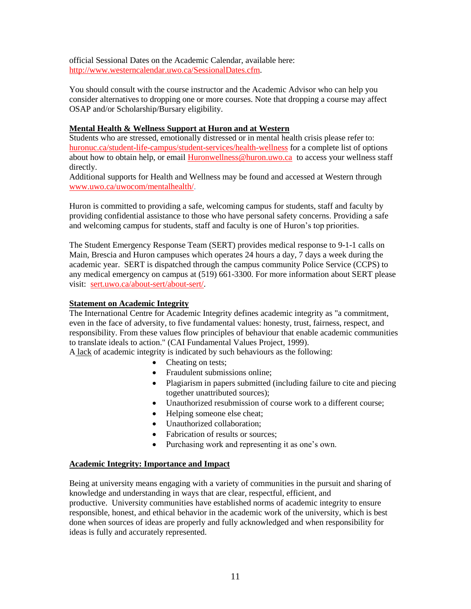official Sessional Dates on the Academic Calendar, available here: [http://www.westerncalendar.uwo.ca/SessionalDates.cfm.](http://www.westerncalendar.uwo.ca/SessionalDates.cfm)

You should consult with the course instructor and the Academic Advisor who can help you consider alternatives to dropping one or more courses. Note that dropping a course may affect OSAP and/or Scholarship/Bursary eligibility.

### **Mental Health & Wellness Support at Huron and at Western**

Students who are stressed, emotionally distressed or in mental health crisis please refer to: [huronuc.ca/student-life-campus/student-services/health-wellness](https://huronuc.ca/student-life-campus/student-services/health-wellness) for a complete list of options about how to obtain help, or email [Huronwellness@huron.uwo.ca](mailto:Huronwellness@huron.uwo.ca) to access your wellness staff directly.

Additional supports for Health and Wellness may be found and accessed at Western through [www.uwo.ca/uwocom/mentalhealth/.](http://www.uwo.ca/uwocom/mentalhealth/)

Huron is committed to providing a safe, welcoming campus for students, staff and faculty by providing confidential assistance to those who have personal safety concerns. Providing a safe and welcoming campus for students, staff and faculty is one of Huron's top priorities.

The Student Emergency Response Team (SERT) provides medical response to 9-1-1 calls on Main, Brescia and Huron campuses which operates 24 hours a day, 7 days a week during the academic year. SERT is dispatched through the campus community Police Service (CCPS) to any medical emergency on campus at (519) 661-3300. For more information about SERT please visit: [sert.uwo.ca/about-sert/about-sert/.](https://sert.uwo.ca/about-sert/about-sert/)

#### **Statement on Academic Integrity**

The International Centre for Academic Integrity defines academic integrity as "a commitment, even in the face of adversity, to five fundamental values: honesty, trust, fairness, respect, and responsibility. From these values flow principles of behaviour that enable academic communities to translate ideals to action." (CAI Fundamental Values Project, 1999).

A lack of academic integrity is indicated by such behaviours as the following:

- Cheating on tests;
- Fraudulent submissions online;
- Plagiarism in papers submitted (including failure to cite and piecing together unattributed sources);
- Unauthorized resubmission of course work to a different course;
- Helping someone else cheat;
- Unauthorized collaboration;
- Fabrication of results or sources;
- Purchasing work and representing it as one's own.

#### **Academic Integrity: Importance and Impact**

Being at university means engaging with a variety of communities in the pursuit and sharing of knowledge and understanding in ways that are clear, respectful, efficient, and productive. University communities have established norms of academic integrity to ensure responsible, honest, and ethical behavior in the academic work of the university, which is best done when sources of ideas are properly and fully acknowledged and when responsibility for ideas is fully and accurately represented.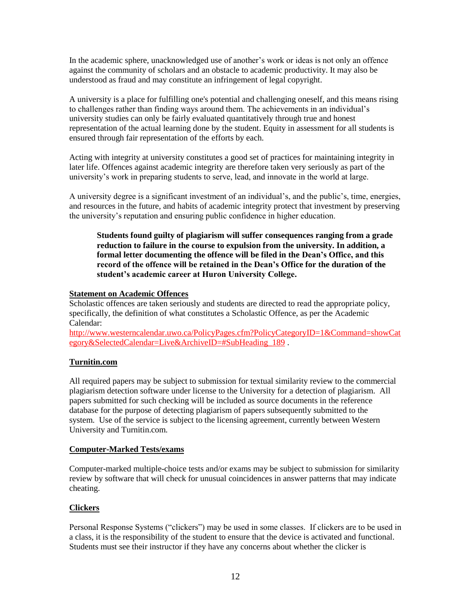In the academic sphere, unacknowledged use of another's work or ideas is not only an offence against the community of scholars and an obstacle to academic productivity. It may also be understood as fraud and may constitute an infringement of legal copyright.

A university is a place for fulfilling one's potential and challenging oneself, and this means rising to challenges rather than finding ways around them. The achievements in an individual's university studies can only be fairly evaluated quantitatively through true and honest representation of the actual learning done by the student. Equity in assessment for all students is ensured through fair representation of the efforts by each.

Acting with integrity at university constitutes a good set of practices for maintaining integrity in later life. Offences against academic integrity are therefore taken very seriously as part of the university's work in preparing students to serve, lead, and innovate in the world at large.

A university degree is a significant investment of an individual's, and the public's, time, energies, and resources in the future, and habits of academic integrity protect that investment by preserving the university's reputation and ensuring public confidence in higher education.

**Students found guilty of plagiarism will suffer consequences ranging from a grade reduction to failure in the course to expulsion from the university. In addition, a formal letter documenting the offence will be filed in the Dean's Office, and this record of the offence will be retained in the Dean's Office for the duration of the student's academic career at Huron University College.**

#### **Statement on Academic Offences**

Scholastic offences are taken seriously and students are directed to read the appropriate policy, specifically, the definition of what constitutes a Scholastic Offence, as per the Academic Calendar:

[http://www.westerncalendar.uwo.ca/PolicyPages.cfm?PolicyCategoryID=1&Command=showCat](http://www.westerncalendar.uwo.ca/PolicyPages.cfm?PolicyCategoryID=1&Command=showCategory&SelectedCalendar=Live&ArchiveID=#SubHeading_189) [egory&SelectedCalendar=Live&ArchiveID=#SubHeading\\_189](http://www.westerncalendar.uwo.ca/PolicyPages.cfm?PolicyCategoryID=1&Command=showCategory&SelectedCalendar=Live&ArchiveID=#SubHeading_189) .

#### **Turnitin.com**

All required papers may be subject to submission for textual similarity review to the commercial plagiarism detection software under license to the University for a detection of plagiarism. All papers submitted for such checking will be included as source documents in the reference database for the purpose of detecting plagiarism of papers subsequently submitted to the system. Use of the service is subject to the licensing agreement, currently between Western University and Turnitin.com.

#### **Computer-Marked Tests/exams**

Computer-marked multiple-choice tests and/or exams may be subject to submission for similarity review by software that will check for unusual coincidences in answer patterns that may indicate cheating.

# **Clickers**

Personal Response Systems ("clickers") may be used in some classes. If clickers are to be used in a class, it is the responsibility of the student to ensure that the device is activated and functional. Students must see their instructor if they have any concerns about whether the clicker is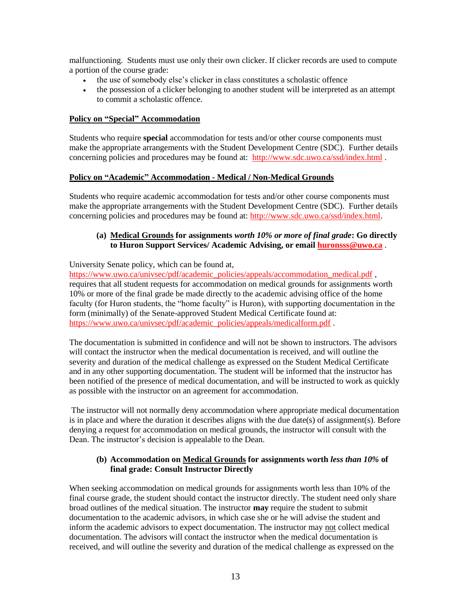malfunctioning. Students must use only their own clicker. If clicker records are used to compute a portion of the course grade:

- the use of somebody else's clicker in class constitutes a scholastic offence
- the possession of a clicker belonging to another student will be interpreted as an attempt to commit a scholastic offence.

#### **Policy on "Special" Accommodation**

Students who require **special** accommodation for tests and/or other course components must make the appropriate arrangements with the Student Development Centre (SDC). Further details concerning policies and procedures may be found at: <http://www.sdc.uwo.ca/ssd/index.html> .

#### **Policy on "Academic" Accommodation - Medical / Non-Medical Grounds**

Students who require academic accommodation for tests and/or other course components must make the appropriate arrangements with the Student Development Centre (SDC). Further details concerning policies and procedures may be found at: [http://www.sdc.uwo.ca/ssd/index.html.](http://www.sdc.uwo.ca/ssd/index.html)

### **(a) Medical Grounds for assignments** *worth 10% or more of final grade***: Go directly to Huron Support Services/ Academic Advising, or email [huronsss@uwo.ca](mailto:huronsss@uwo.ca)** .

#### University Senate policy, which can be found at,

[https://www.uwo.ca/univsec/pdf/academic\\_policies/appeals/accommodation\\_medical.pdf](https://www.uwo.ca/univsec/pdf/academic_policies/appeals/accommodation_medical.pdf) , requires that all student requests for accommodation on medical grounds for assignments worth 10% or more of the final grade be made directly to the academic advising office of the home faculty (for Huron students, the "home faculty" is Huron), with supporting documentation in the form (minimally) of the Senate-approved Student Medical Certificate found at: [https://www.uwo.ca/univsec/pdf/academic\\_policies/appeals/medicalform.pdf](https://www.uwo.ca/univsec/pdf/academic_policies/appeals/medicalform.pdf) .

The documentation is submitted in confidence and will not be shown to instructors. The advisors will contact the instructor when the medical documentation is received, and will outline the severity and duration of the medical challenge as expressed on the Student Medical Certificate and in any other supporting documentation. The student will be informed that the instructor has been notified of the presence of medical documentation, and will be instructed to work as quickly as possible with the instructor on an agreement for accommodation.

The instructor will not normally deny accommodation where appropriate medical documentation is in place and where the duration it describes aligns with the due date(s) of assignment(s). Before denying a request for accommodation on medical grounds, the instructor will consult with the Dean. The instructor's decision is appealable to the Dean.

#### **(b) Accommodation on Medical Grounds for assignments worth** *less than 10%* **of final grade: Consult Instructor Directly**

When seeking accommodation on medical grounds for assignments worth less than 10% of the final course grade, the student should contact the instructor directly. The student need only share broad outlines of the medical situation. The instructor **may** require the student to submit documentation to the academic advisors, in which case she or he will advise the student and inform the academic advisors to expect documentation. The instructor may not collect medical documentation. The advisors will contact the instructor when the medical documentation is received, and will outline the severity and duration of the medical challenge as expressed on the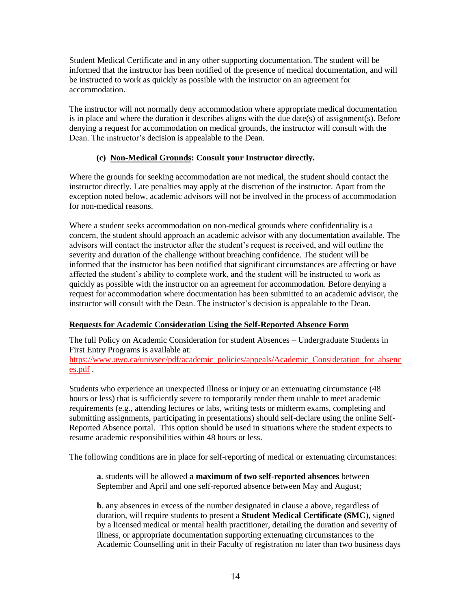Student Medical Certificate and in any other supporting documentation. The student will be informed that the instructor has been notified of the presence of medical documentation, and will be instructed to work as quickly as possible with the instructor on an agreement for accommodation.

The instructor will not normally deny accommodation where appropriate medical documentation is in place and where the duration it describes aligns with the due date(s) of assignment(s). Before denying a request for accommodation on medical grounds, the instructor will consult with the Dean. The instructor's decision is appealable to the Dean.

### **(c) Non-Medical Grounds: Consult your Instructor directly.**

Where the grounds for seeking accommodation are not medical, the student should contact the instructor directly. Late penalties may apply at the discretion of the instructor. Apart from the exception noted below, academic advisors will not be involved in the process of accommodation for non-medical reasons.

Where a student seeks accommodation on non-medical grounds where confidentiality is a concern, the student should approach an academic advisor with any documentation available. The advisors will contact the instructor after the student's request is received, and will outline the severity and duration of the challenge without breaching confidence. The student will be informed that the instructor has been notified that significant circumstances are affecting or have affected the student's ability to complete work, and the student will be instructed to work as quickly as possible with the instructor on an agreement for accommodation. Before denying a request for accommodation where documentation has been submitted to an academic advisor, the instructor will consult with the Dean. The instructor's decision is appealable to the Dean.

#### **Requests for Academic Consideration Using the Self-Reported Absence Form**

The full Policy on Academic Consideration for student Absences – Undergraduate Students in First Entry Programs is available at: [https://www.uwo.ca/univsec/pdf/academic\\_policies/appeals/Academic\\_Consideration\\_for\\_absenc](https://www.uwo.ca/univsec/pdf/academic_policies/appeals/Academic_Consideration_for_absences.pdf) [es.pdf](https://www.uwo.ca/univsec/pdf/academic_policies/appeals/Academic_Consideration_for_absences.pdf) .

Students who experience an unexpected illness or injury or an extenuating circumstance (48 hours or less) that is sufficiently severe to temporarily render them unable to meet academic requirements (e.g., attending lectures or labs, writing tests or midterm exams, completing and submitting assignments, participating in presentations) should self-declare using the online Self-Reported Absence portal. This option should be used in situations where the student expects to resume academic responsibilities within 48 hours or less.

The following conditions are in place for self-reporting of medical or extenuating circumstances:

**a**. students will be allowed **a maximum of two self-reported absences** between September and April and one self-reported absence between May and August;

**b**. any absences in excess of the number designated in clause a above, regardless of duration, will require students to present a **Student Medical Certificate (SMC**), signed by a licensed medical or mental health practitioner, detailing the duration and severity of illness, or appropriate documentation supporting extenuating circumstances to the Academic Counselling unit in their Faculty of registration no later than two business days